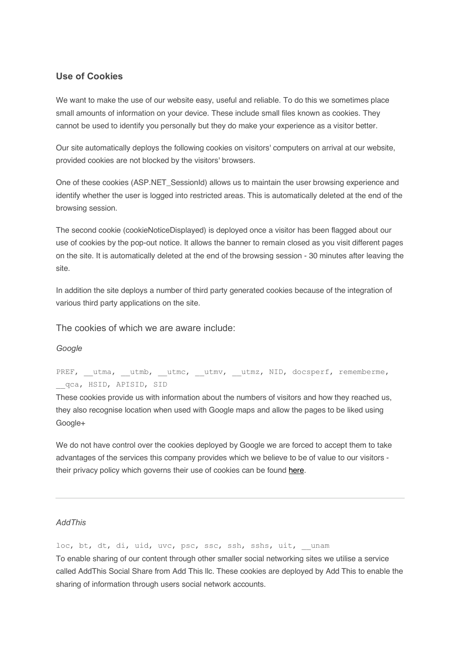## **Use of Cookies**

We want to make the use of our website easy, useful and reliable. To do this we sometimes place small amounts of information on your device. These include small files known as cookies. They cannot be used to identify you personally but they do make your experience as a visitor better.

Our site automatically deploys the following cookies on visitors' computers on arrival at our website, provided cookies are not blocked by the visitors' browsers.

One of these cookies (ASP.NET\_SessionId) allows us to maintain the user browsing experience and identify whether the user is logged into restricted areas. This is automatically deleted at the end of the browsing session.

The second cookie (cookieNoticeDisplayed) is deployed once a visitor has been flagged about our use of cookies by the pop-out notice. It allows the banner to remain closed as you visit different pages on the site. It is automatically deleted at the end of the browsing session - 30 minutes after leaving the site.

In addition the site deploys a number of third party generated cookies because of the integration of various third party applications on the site.

The cookies of which we are aware include:

#### *Google*

PREF, utma, utmb, utmc, utmv, utmz, NID, docsperf, rememberme, qca, HSID, APISID, SID

These cookies provide us with information about the numbers of visitors and how they reached us, they also recognise location when used with Google maps and allow the pages to be liked using Google+

We do not have control over the cookies deployed by Google we are forced to accept them to take advantages of the services this company provides which we believe to be of value to our visitors their privacy policy which governs their use of cookies can be found here.

### *AddThis*

loc, bt, dt, di, uid, uvc, psc, ssc, ssh, sshs, uit, unam To enable sharing of our content through other smaller social networking sites we utilise a service called AddThis Social Share from Add This llc. These cookies are deployed by Add This to enable the sharing of information through users social network accounts.